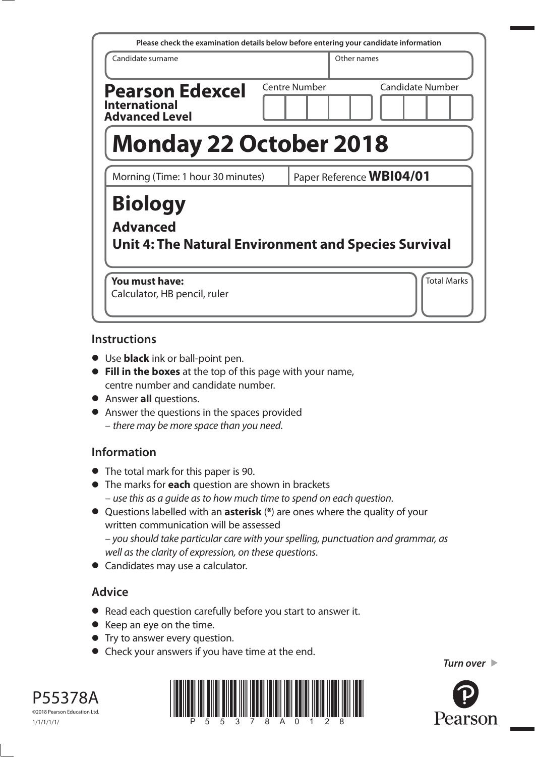| Please check the examination details below before entering your candidate information            |  |                      |                          |  |  |
|--------------------------------------------------------------------------------------------------|--|----------------------|--------------------------|--|--|
| Candidate surname                                                                                |  |                      | Other names              |  |  |
| <b>Pearson Edexcel</b><br><b>International</b><br><b>Advanced Level</b>                          |  | <b>Centre Number</b> | <b>Candidate Number</b>  |  |  |
| <b>Monday 22 October 2018</b>                                                                    |  |                      |                          |  |  |
| Morning (Time: 1 hour 30 minutes)                                                                |  |                      | Paper Reference WBI04/01 |  |  |
| <b>Biology</b><br><b>Advanced</b><br><b>Unit 4: The Natural Environment and Species Survival</b> |  |                      |                          |  |  |
| You must have:                                                                                   |  |                      | <b>Total Marks</b>       |  |  |

## **Instructions**

- Use **black** ink or ball-point pen.
- **Fill in the boxes** at the top of this page with your name, centre number and candidate number.
- Answer **all** questions.
- Answer the questions in the spaces provided – there may be more space than you need.

## **Information**

- The total mark for this paper is 90.
- The marks for **each** question are shown in brackets – use this as a guide as to how much time to spend on each question.
- Questions labelled with an **asterisk** (**\***) are ones where the quality of your written communication will be assessed – you should take particular care with your spelling, punctuation and grammar, as well as the clarity of expression, on these questions.
- Candidates may use a calculator.

## **Advice**

- Read each question carefully before you start to answer it.
- Keep an eye on the time.
- Try to answer every question.
- Check your answers if you have time at the end.





*Turn over* 

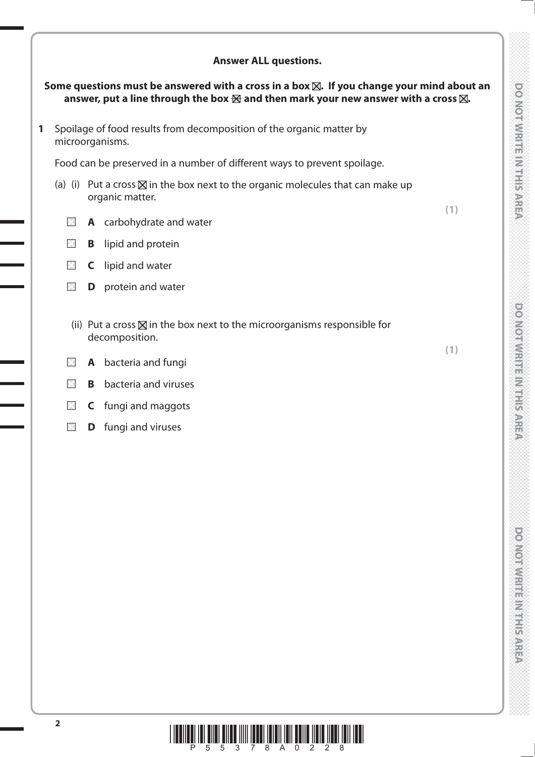|          |   | Spoilage of food results from decomposition of the organic matter by                                                                                                  |     |
|----------|---|-----------------------------------------------------------------------------------------------------------------------------------------------------------------------|-----|
|          |   | microorganisms.                                                                                                                                                       |     |
|          |   | Food can be preserved in a number of different ways to prevent spoilage.<br>(a) (i) Put a cross $\boxtimes$ in the box next to the organic molecules that can make up |     |
|          |   | organic matter.                                                                                                                                                       |     |
| $\times$ |   | A carbohydrate and water                                                                                                                                              | (1) |
| $\times$ | B | lipid and protein                                                                                                                                                     |     |
| X        | C | lipid and water                                                                                                                                                       |     |
| $\times$ | D | protein and water                                                                                                                                                     |     |
|          |   |                                                                                                                                                                       |     |
|          |   | (ii) Put a cross $\boxtimes$ in the box next to the microorganisms responsible for<br>decomposition.                                                                  |     |
| $\times$ | A | bacteria and fungi                                                                                                                                                    | (1) |
| ×        | B | bacteria and viruses                                                                                                                                                  |     |
|          |   | <b>C</b> fungi and maggots                                                                                                                                            |     |
|          |   | <b>D</b> fungi and viruses                                                                                                                                            |     |
|          |   |                                                                                                                                                                       |     |
|          |   |                                                                                                                                                                       |     |
|          |   |                                                                                                                                                                       |     |
|          |   |                                                                                                                                                                       |     |
|          |   |                                                                                                                                                                       |     |
|          |   |                                                                                                                                                                       |     |
|          |   |                                                                                                                                                                       |     |
|          |   |                                                                                                                                                                       |     |
|          |   |                                                                                                                                                                       |     |
|          |   |                                                                                                                                                                       |     |

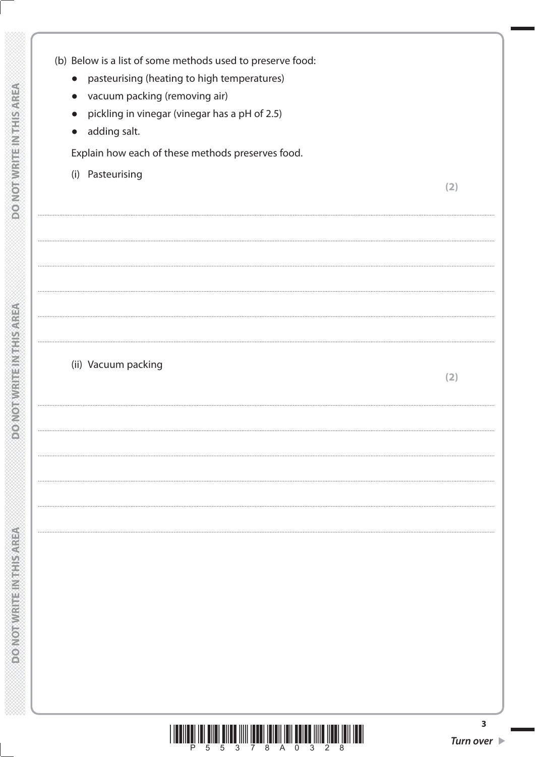| (b) Below is a list of some methods used to preserve food:<br>pasteurising (heating to high temperatures)<br>$\bullet$<br>vacuum packing (removing air)<br>$\bullet$<br>pickling in vinegar (vinegar has a pH of 2.5)<br>adding salt. |     |
|---------------------------------------------------------------------------------------------------------------------------------------------------------------------------------------------------------------------------------------|-----|
| Explain how each of these methods preserves food.                                                                                                                                                                                     |     |
| (i) Pasteurising                                                                                                                                                                                                                      |     |
|                                                                                                                                                                                                                                       | (2) |
|                                                                                                                                                                                                                                       |     |
|                                                                                                                                                                                                                                       |     |
|                                                                                                                                                                                                                                       |     |
|                                                                                                                                                                                                                                       |     |
| (ii) Vacuum packing                                                                                                                                                                                                                   | (2) |
|                                                                                                                                                                                                                                       |     |
|                                                                                                                                                                                                                                       |     |
|                                                                                                                                                                                                                                       |     |
|                                                                                                                                                                                                                                       |     |
|                                                                                                                                                                                                                                       |     |
|                                                                                                                                                                                                                                       |     |
|                                                                                                                                                                                                                                       |     |
|                                                                                                                                                                                                                                       |     |
|                                                                                                                                                                                                                                       |     |
|                                                                                                                                                                                                                                       |     |
|                                                                                                                                                                                                                                       |     |



**PONOTWRITEINTHIS AREA** 

**PONOTWRITEINTHIS AREA**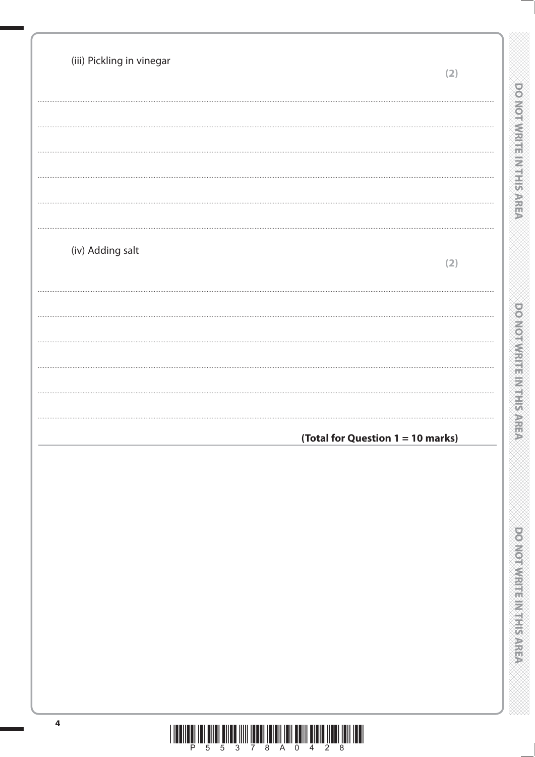| (iii) Pickling in vinegar | (2)<br>.                          |
|---------------------------|-----------------------------------|
|                           | .<br>.                            |
| (iv) Adding salt          |                                   |
|                           | (2)<br>                           |
|                           | .<br>.                            |
|                           | (Total for Question 1 = 10 marks) |
|                           |                                   |
|                           |                                   |
| 4                         |                                   |

 $\frac{1}{2}$   $\frac{1}{2}$   $\frac{1}{2}$   $\frac{1}{2}$   $\frac{1}{2}$   $\frac{1}{2}$   $\frac{1}{2}$   $\frac{1}{2}$   $\frac{1}{2}$   $\frac{1}{2}$   $\frac{1}{2}$   $\frac{1}{2}$   $\frac{1}{2}$   $\frac{1}{2}$   $\frac{1}{2}$   $\frac{1}{2}$   $\frac{1}{8}$   $\frac{1}{2}$   $\frac{1}{8}$   $\frac{1}{11}$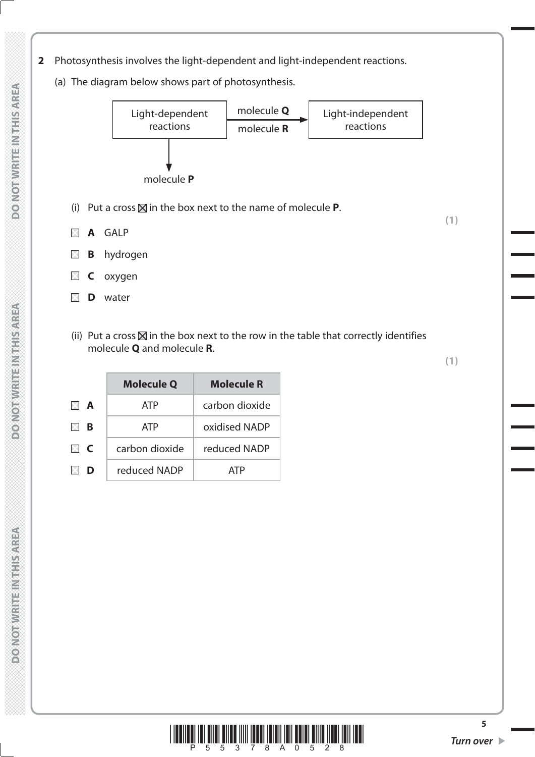- **2** Photosynthesis involves the light-dependent and light-independent reactions.
	- (a) The diagram below shows part of photosynthesis.



- **A** GALP
- **B** hydrogen
- **C** oxygen
- **D** water
- (ii) Put a cross  $\boxtimes$  in the box next to the row in the table that correctly identifies molecule **Q** and molecule **R**.

|                   | <b>Molecule Q</b> | <b>Molecule R</b> |
|-------------------|-------------------|-------------------|
| A<br>$\mathbb{X}$ | ATP               | carbon dioxide    |
| B<br>$\mathbb{E}$ | ATP               | oxidised NADP     |
| $\boxtimes$ C     | carbon dioxide    | reduced NADP      |
| D                 | reduced NADP      | ΔTΡ               |

**(1)**

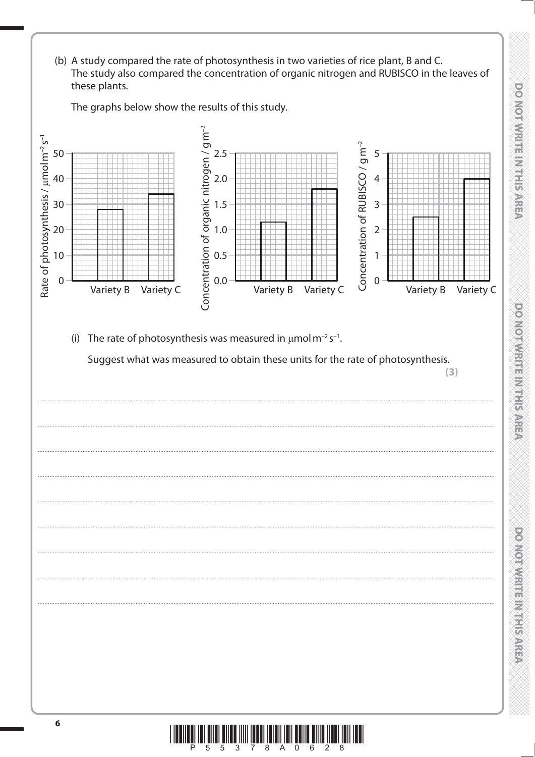(b) A study compared the rate of photosynthesis in two varieties of rice plant, B and C. The study also compared the concentration of organic nitrogen and RUBISCO in the leaves of these plants.

The graphs below show the results of this study.



(i) The rate of photosynthesis was measured in  $\mu$ mol m<sup>-2</sup> s<sup>-1</sup>.

Suggest what was measured to obtain these units for the rate of photosynthesis.

 $(3)$ 

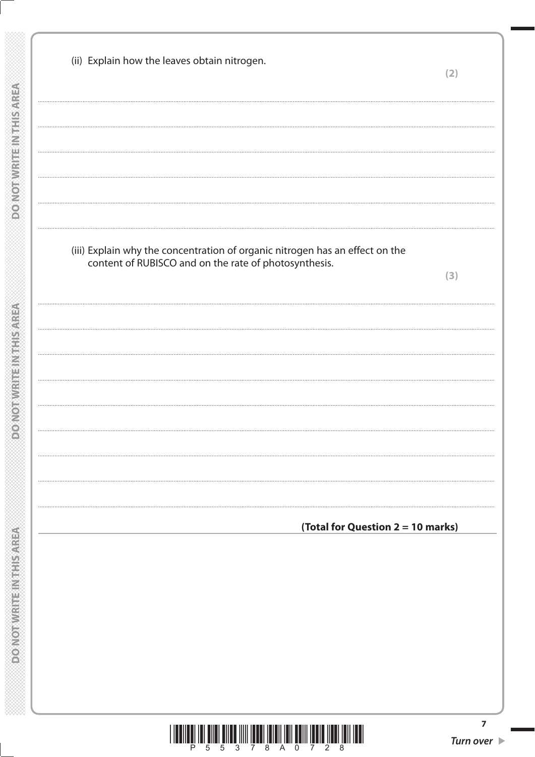| (ii) Explain how the leaves obtain nitrogen.                                 | (2)                               |
|------------------------------------------------------------------------------|-----------------------------------|
|                                                                              |                                   |
|                                                                              |                                   |
|                                                                              |                                   |
|                                                                              |                                   |
|                                                                              |                                   |
| (iii) Explain why the concentration of organic nitrogen has an effect on the |                                   |
| content of RUBISCO and on the rate of photosynthesis.                        | (3)                               |
|                                                                              |                                   |
|                                                                              |                                   |
|                                                                              |                                   |
|                                                                              |                                   |
|                                                                              |                                   |
|                                                                              |                                   |
|                                                                              |                                   |
|                                                                              |                                   |
|                                                                              | (Total for Question 2 = 10 marks) |
|                                                                              |                                   |
|                                                                              |                                   |
|                                                                              |                                   |
|                                                                              |                                   |
|                                                                              |                                   |
|                                                                              |                                   |



 $\overline{z}$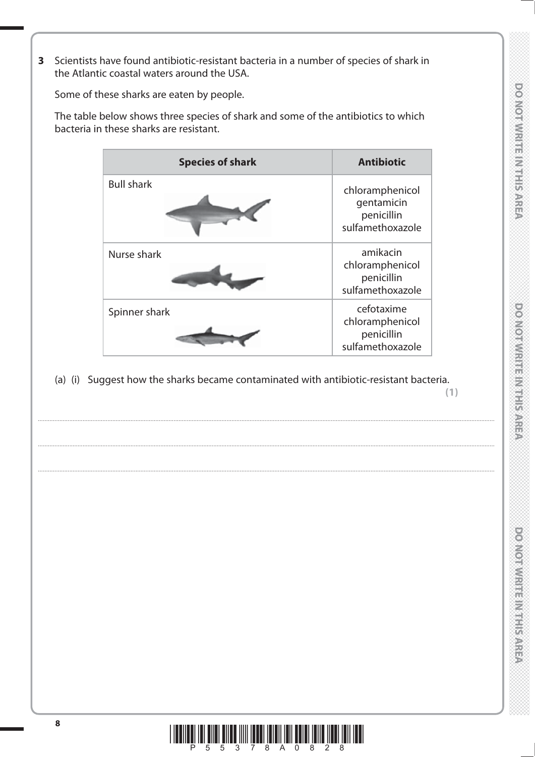**3** Scientists have found antibiotic-resistant bacteria in a number of species of shark in the Atlantic coastal waters around the USA.

Some of these sharks are eaten by people.

 The table below shows three species of shark and some of the antibiotics to which bacteria in these sharks are resistant.

| <b>Species of shark</b> | <b>Antibiotic</b>                                               |
|-------------------------|-----------------------------------------------------------------|
| <b>Bull shark</b>       | chloramphenicol<br>gentamicin<br>penicillin<br>sulfamethoxazole |
| Nurse shark             | amikacin<br>chloramphenicol<br>penicillin<br>sulfamethoxazole   |
| Spinner shark           | cefotaxime<br>chloramphenicol<br>penicillin<br>sulfamethoxazole |

(a) (i) Suggest how the sharks became contaminated with antibiotic-resistant bacteria.

....................................................................................................................................................................................................................................................................................

....................................................................................................................................................................................................................................................................................

....................................................................................................................................................................................................................................................................................

**(1)**

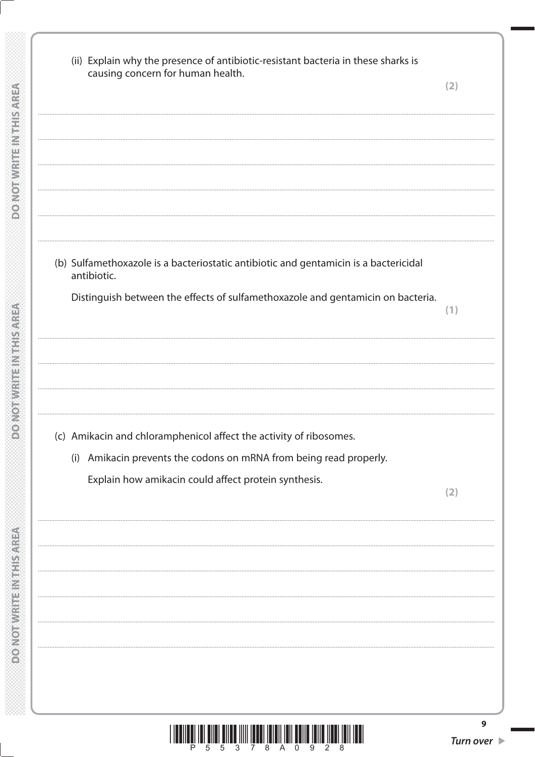| (b) Sulfamethoxazole is a bacteriostatic antibiotic and gentamicin is a bactericidal<br>antibiotic. |     |
|-----------------------------------------------------------------------------------------------------|-----|
| Distinguish between the effects of sulfamethoxazole and gentamicin on bacteria.                     |     |
|                                                                                                     | (1) |
|                                                                                                     |     |
|                                                                                                     |     |
|                                                                                                     |     |
|                                                                                                     |     |
| (c) Amikacin and chloramphenicol affect the activity of ribosomes.                                  |     |
| (i) Amikacin prevents the codons on mRNA from being read properly.                                  |     |
| Explain how amikacin could affect protein synthesis.                                                | (2) |
|                                                                                                     |     |
|                                                                                                     |     |
|                                                                                                     |     |
|                                                                                                     |     |
|                                                                                                     |     |
|                                                                                                     |     |
|                                                                                                     |     |
|                                                                                                     |     |

**ASSASSMENT MANAGEMENT** 

DO NOT WRITE IN THIS AREA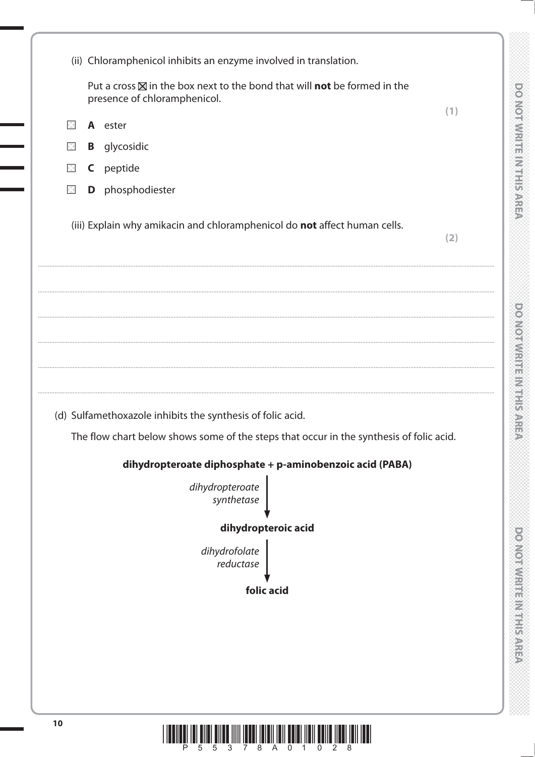|          | (ii) Chloramphenicol inhibits an enzyme involved in translation.                          |                                |
|----------|-------------------------------------------------------------------------------------------|--------------------------------|
|          | Put a cross $\boxtimes$ in the box next to the bond that will <b>not</b> be formed in the |                                |
|          | presence of chloramphenicol.<br>(1)                                                       | <b>DOMORANT FRAME NEWSPARE</b> |
| $\times$ | A ester                                                                                   |                                |
| $\times$ | <b>B</b> glycosidic                                                                       |                                |
| $\times$ | C peptide                                                                                 |                                |
| $\times$ | <b>D</b> phosphodiester                                                                   |                                |
|          | (iii) Explain why amikacin and chloramphenicol do not affect human cells.<br>(2)          |                                |
|          | (d) Sulfamethoxazole inhibits the synthesis of folic acid.                                | <b>BEAT AND REAL PROPERTY</b>  |
|          | The flow chart below shows some of the steps that occur in the synthesis of folic acid.   |                                |
|          | dihydropteroate diphosphate + p-aminobenzoic acid (PABA)                                  |                                |
|          | dihydropteroate<br>synthetase                                                             |                                |
|          | dihydropteroic acid                                                                       |                                |
|          | dihydrofolate<br>reductase                                                                | <b>PONDERN ENTERTAINMENT</b>   |
|          | folic acid                                                                                |                                |
|          |                                                                                           |                                |
|          |                                                                                           |                                |
|          |                                                                                           |                                |
|          |                                                                                           |                                |
|          |                                                                                           |                                |

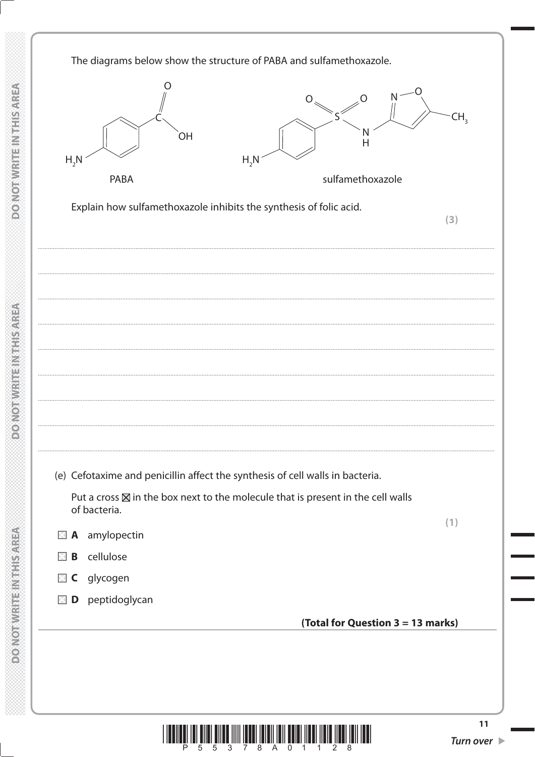| <b>PONOTAWRITEINTHISAREA</b>   | ( )<br>້ງ″<br>N<br><b>OH</b><br>Η<br>$H_2N$<br>$H_2N$<br>sulfamethoxa<br>PABA<br>Explain how sulfamethoxazole inhibits the synthesis of folic acid. |
|--------------------------------|-----------------------------------------------------------------------------------------------------------------------------------------------------|
| <b>DOMOTOR METHODS</b>         |                                                                                                                                                     |
|                                | (e) Cefotaxime and penicillin affect the synthesis of cell walls in bacteria.                                                                       |
|                                | Put a cross $\boxtimes$ in the box next to the molecule that is present in the ce<br>of bacteria.                                                   |
|                                | amylopectin<br>$\boxtimes$ A                                                                                                                        |
|                                | cellulose<br>$\boxtimes$ B                                                                                                                          |
|                                | glycogen<br>$\boxtimes$ C                                                                                                                           |
|                                | peptidoglycan<br>D<br>$\times$                                                                                                                      |
|                                | <b>(Total for Questic</b>                                                                                                                           |
| <b>Market Humilian Schools</b> |                                                                                                                                                     |
|                                |                                                                                                                                                     |

| The diagrams below show the structure of PABA and sulfamethoxazole. |    |
|---------------------------------------------------------------------|----|
| ΟH                                                                  | Ή. |
| ۲,N                                                                 | н  |

sulfamethoxazole

 $(3)$ 

to the molecule that is present in the cell walls

| ۰. |  |
|----|--|
|    |  |

(Total for Question 3 = 13 marks)

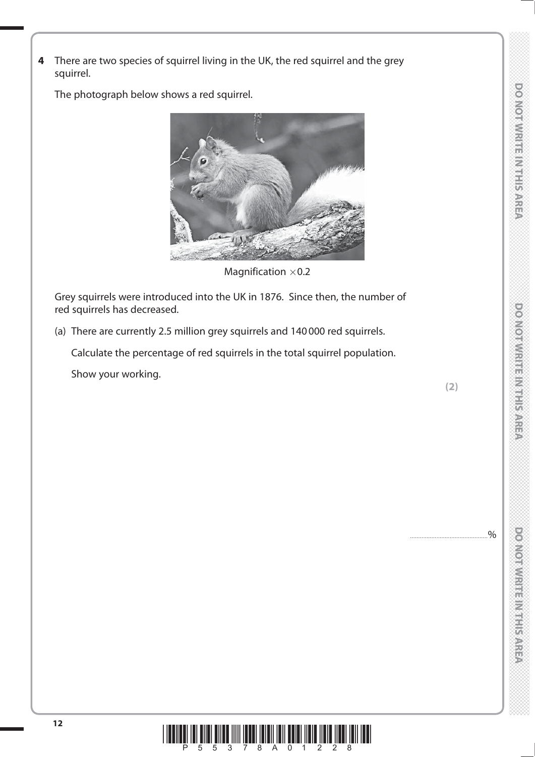**4** There are two species of squirrel living in the UK, the red squirrel and the grey squirrel.

The photograph below shows a red squirrel.



Magnification  $\times$ 0.2

 Grey squirrels were introduced into the UK in 1876. Since then, the number of red squirrels has decreased.

(a) There are currently 2.5 million grey squirrels and 140 000 red squirrels.

Calculate the percentage of red squirrels in the total squirrel population.

Show your working.

**(2)**

...............................................%

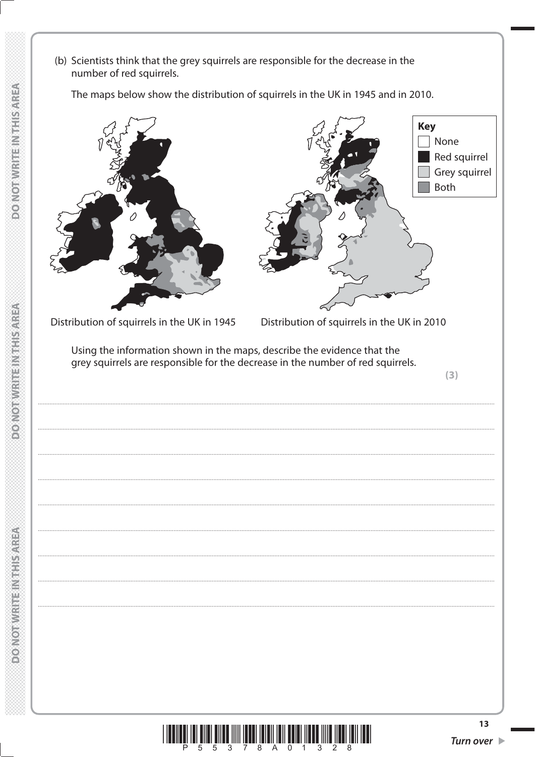(b) Scientists think that the grey squirrels are responsible for the decrease in the number of red squirrels.

The maps below show the distribution of squirrels in the UK in 1945 and in 2010.





Using the information shown in the maps, describe the evidence that the

grey squirrels are responsible for the decrease in the number of red squirrels.

 $(3)$ 

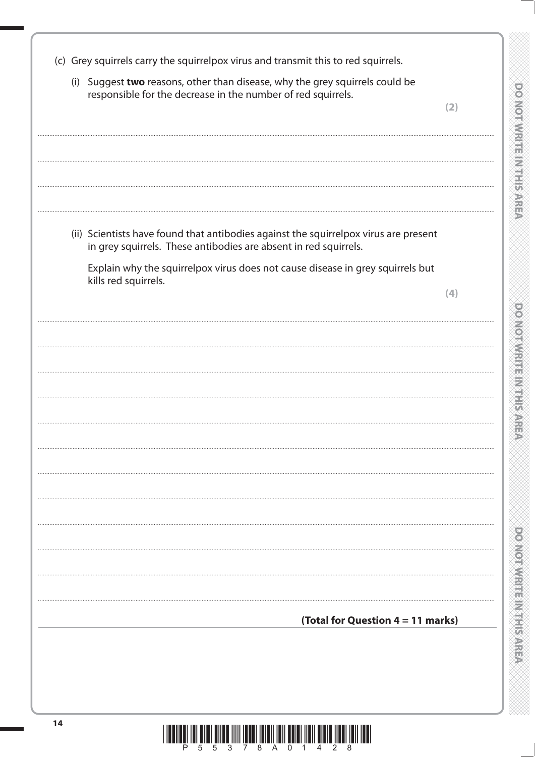| (i) Suggest two reasons, other than disease, why the grey squirrels could be<br>responsible for the decrease in the number of red squirrels.             | (2) |
|----------------------------------------------------------------------------------------------------------------------------------------------------------|-----|
|                                                                                                                                                          |     |
| (ii) Scientists have found that antibodies against the squirrelpox virus are present<br>in grey squirrels. These antibodies are absent in red squirrels. |     |
| Explain why the squirrelpox virus does not cause disease in grey squirrels but<br>kills red squirrels.                                                   |     |
|                                                                                                                                                          | (4) |
|                                                                                                                                                          |     |
|                                                                                                                                                          |     |
|                                                                                                                                                          |     |
|                                                                                                                                                          |     |
|                                                                                                                                                          |     |
|                                                                                                                                                          |     |
|                                                                                                                                                          |     |
|                                                                                                                                                          |     |
|                                                                                                                                                          |     |
|                                                                                                                                                          |     |
|                                                                                                                                                          |     |
|                                                                                                                                                          |     |
|                                                                                                                                                          |     |
|                                                                                                                                                          |     |
| (Total for Question 4 = 11 marks)                                                                                                                        |     |
|                                                                                                                                                          |     |
|                                                                                                                                                          |     |
|                                                                                                                                                          |     |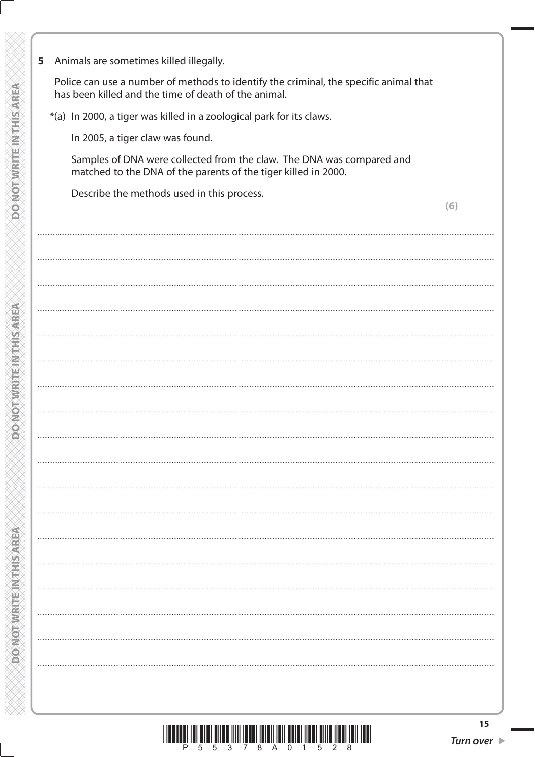5 Animals are sometimes killed illegally. Police can use a number of methods to identify the criminal, the specific animal that has been killed and the time of death of the animal. \*(a) In 2000, a tiger was killed in a zoological park for its claws. In 2005, a tiger claw was found. Samples of DNA were collected from the claw. The DNA was compared and matched to the DNA of the parents of the tiger killed in 2000. Describe the methods used in this process.  $(6)$ 



 $15$ 

**PONOTWRITE INTHISIAREA** 

**MERIVAL PRIVATE MARKED AS**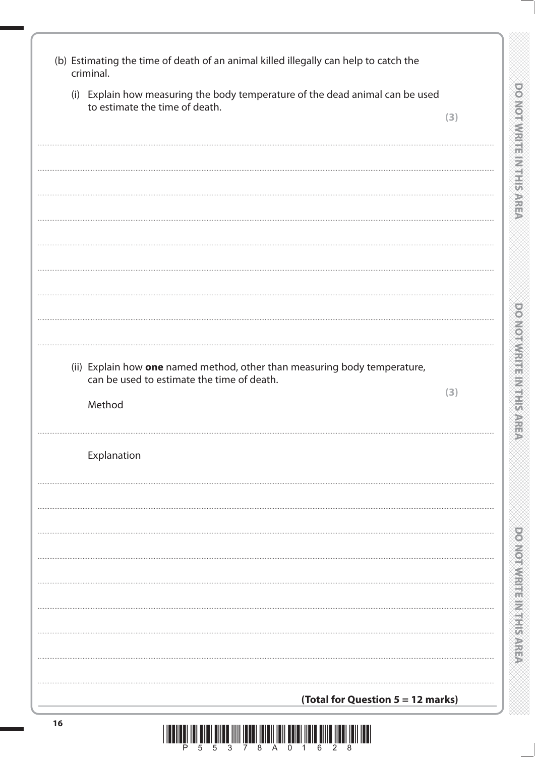| (i) Explain how measuring the body temperature of the dead animal can be used<br>to estimate the time of death. |     |
|-----------------------------------------------------------------------------------------------------------------|-----|
|                                                                                                                 | (3) |
|                                                                                                                 |     |
|                                                                                                                 |     |
|                                                                                                                 |     |
|                                                                                                                 |     |
|                                                                                                                 |     |
|                                                                                                                 |     |
|                                                                                                                 |     |
|                                                                                                                 |     |
|                                                                                                                 |     |
|                                                                                                                 |     |
| (ii) Explain how one named method, other than measuring body temperature,                                       |     |
| can be used to estimate the time of death.                                                                      | (3) |
| Method                                                                                                          |     |
|                                                                                                                 |     |
| Explanation                                                                                                     |     |
|                                                                                                                 |     |
|                                                                                                                 |     |
|                                                                                                                 |     |
|                                                                                                                 |     |
|                                                                                                                 |     |
|                                                                                                                 |     |
|                                                                                                                 |     |
|                                                                                                                 |     |
|                                                                                                                 |     |
|                                                                                                                 |     |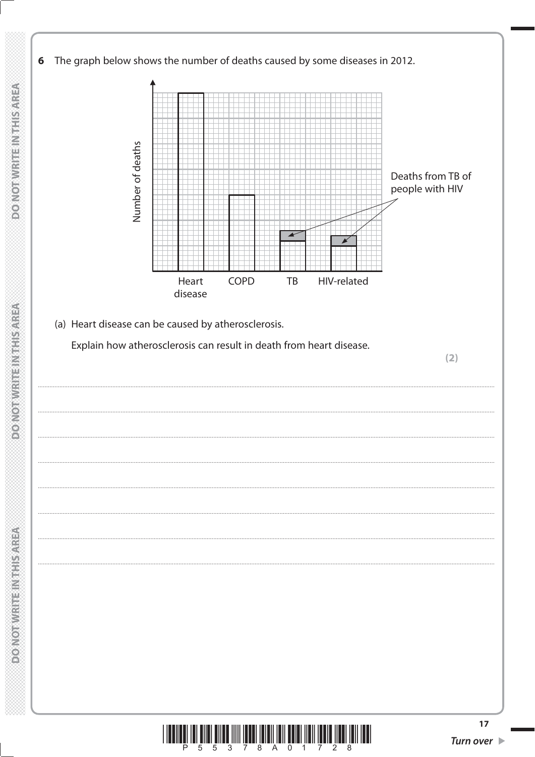The graph below shows the number of deaths caused by some diseases in 2012. 6



(a) Heart disease can be caused by atherosclerosis.

Explain how atherosclerosis can result in death from heart disease.

**DO NOT WRITE INTHIS AREA** 

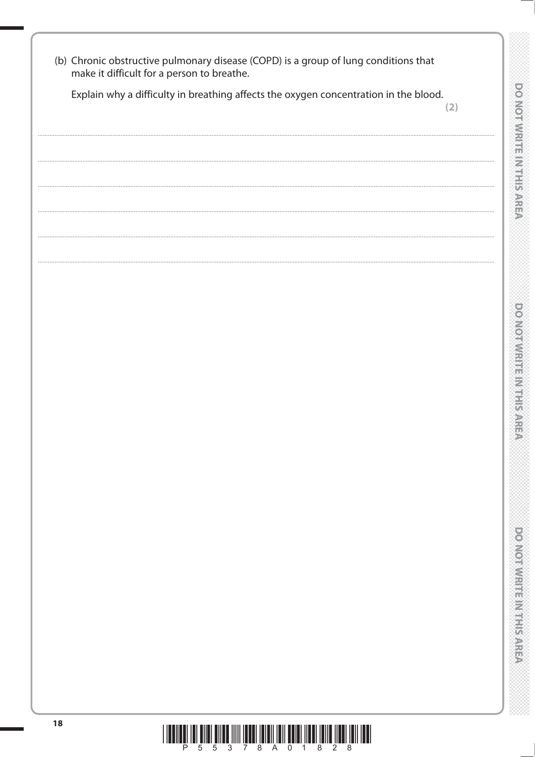|    | Explain why a difficulty in breathing affects the oxygen concentration in the blood. |  |
|----|--------------------------------------------------------------------------------------|--|
|    | (2)                                                                                  |  |
|    |                                                                                      |  |
|    |                                                                                      |  |
|    |                                                                                      |  |
|    |                                                                                      |  |
|    |                                                                                      |  |
|    |                                                                                      |  |
|    |                                                                                      |  |
|    |                                                                                      |  |
|    |                                                                                      |  |
|    |                                                                                      |  |
|    |                                                                                      |  |
|    |                                                                                      |  |
|    |                                                                                      |  |
|    |                                                                                      |  |
|    |                                                                                      |  |
|    |                                                                                      |  |
|    |                                                                                      |  |
|    |                                                                                      |  |
|    |                                                                                      |  |
|    |                                                                                      |  |
|    |                                                                                      |  |
|    |                                                                                      |  |
|    |                                                                                      |  |
|    |                                                                                      |  |
|    |                                                                                      |  |
|    |                                                                                      |  |
|    |                                                                                      |  |
|    |                                                                                      |  |
|    |                                                                                      |  |
|    |                                                                                      |  |
|    |                                                                                      |  |
|    |                                                                                      |  |
|    |                                                                                      |  |
|    |                                                                                      |  |
|    |                                                                                      |  |
| 18 |                                                                                      |  |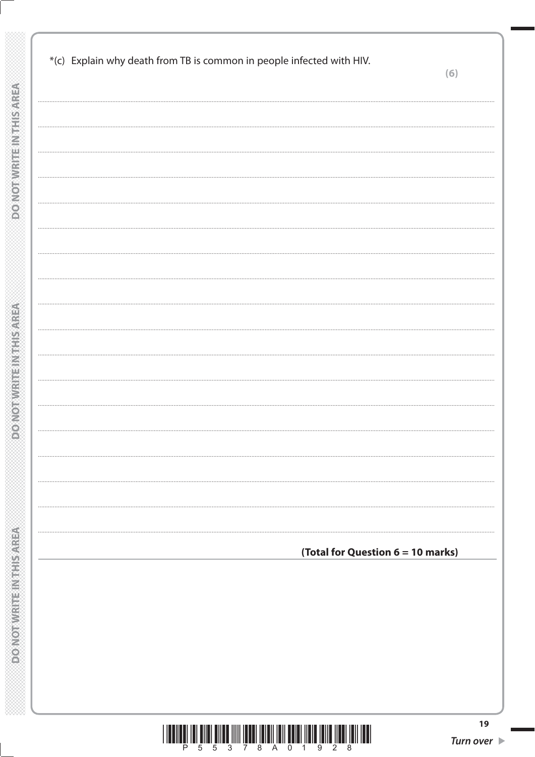| *(c) Explain why death from TB is common in people infected with HIV. |                                   | (6) |
|-----------------------------------------------------------------------|-----------------------------------|-----|
|                                                                       |                                   |     |
|                                                                       |                                   |     |
|                                                                       |                                   |     |
|                                                                       |                                   |     |
|                                                                       |                                   |     |
|                                                                       |                                   |     |
|                                                                       |                                   |     |
|                                                                       |                                   |     |
|                                                                       |                                   |     |
|                                                                       |                                   |     |
|                                                                       |                                   |     |
|                                                                       |                                   |     |
|                                                                       |                                   |     |
|                                                                       |                                   |     |
|                                                                       |                                   |     |
|                                                                       |                                   |     |
|                                                                       |                                   |     |
|                                                                       |                                   |     |
|                                                                       |                                   |     |
|                                                                       |                                   |     |
|                                                                       |                                   |     |
|                                                                       |                                   |     |
|                                                                       |                                   |     |
|                                                                       |                                   |     |
|                                                                       |                                   |     |
|                                                                       |                                   |     |
|                                                                       | (Total for Question 6 = 10 marks) |     |
|                                                                       |                                   |     |
|                                                                       |                                   |     |
|                                                                       |                                   |     |
|                                                                       |                                   |     |
|                                                                       |                                   |     |
|                                                                       |                                   |     |
|                                                                       |                                   |     |
|                                                                       |                                   |     |
|                                                                       |                                   |     |

 $\frac{1}{2}$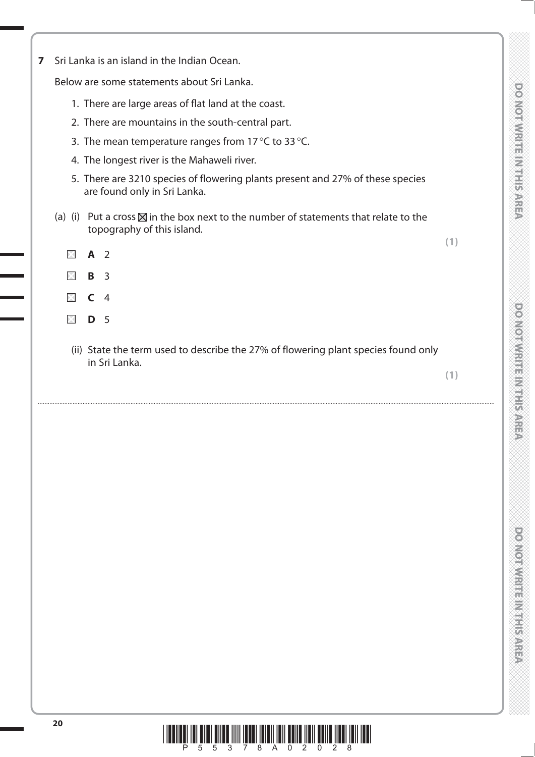DOMOI WRITE M HE RAREA

**DOMOTIVIES IN THIS AREA** 

**7** Sri Lanka is an island in the Indian Ocean.

Below are some statements about Sri Lanka.

- 1. There are large areas of flat land at the coast.
- 2. There are mountains in the south-central part.
- 3. The mean temperature ranges from 17 $\mathrm{°C}$  to 33 $\mathrm{°C}$ .
- 4. The longest river is the Mahaweli river.
- 5. There are 3210 species of flowering plants present and 27% of these species are found only in Sri Lanka.
- (a) (i) Put a cross  $\boxtimes$  in the box next to the number of statements that relate to the topography of this island.
	- **A** 2
	- **B** 3
	- **C** 4
	- **D** 5
	- (ii) State the term used to describe the 27% of flowering plant species found only in Sri Lanka.

....................................................................................................................................................................................................................................................................................

**(1)**

**(1)**

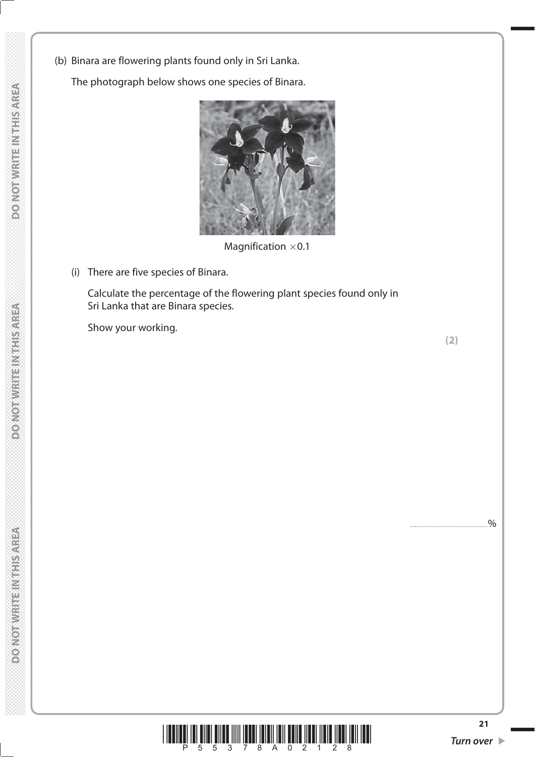(b) Binara are flowering plants found only in Sri Lanka.

The photograph below shows one species of Binara.



Magnification  $\times$ 0.1

(i) There are five species of Binara.

 Calculate the percentage of the flowering plant species found only in Sri Lanka that are Binara species.

Show your working.

**(2)**

...............................................%

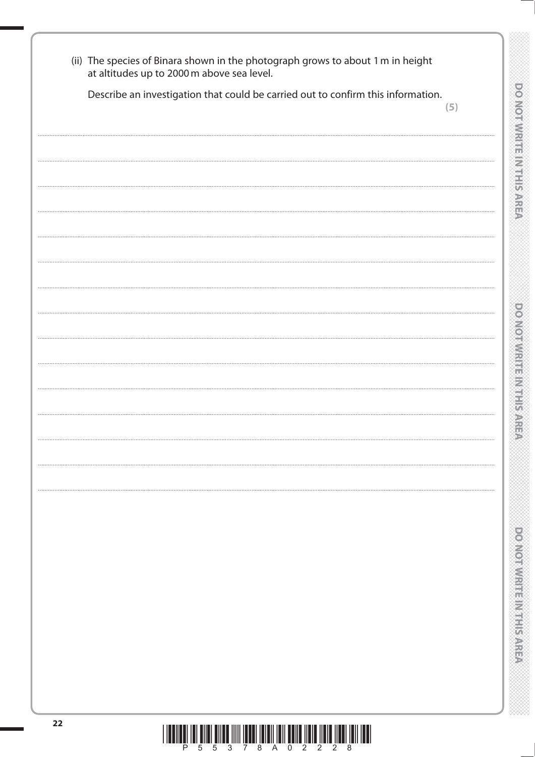| at altitudes up to 2000 m above sea level.                                       | (ii) The species of Binara shown in the photograph grows to about 1 m in height |     |
|----------------------------------------------------------------------------------|---------------------------------------------------------------------------------|-----|
| Describe an investigation that could be carried out to confirm this information. |                                                                                 |     |
|                                                                                  |                                                                                 | (5) |
|                                                                                  |                                                                                 |     |
|                                                                                  |                                                                                 |     |
|                                                                                  |                                                                                 |     |
|                                                                                  |                                                                                 |     |
|                                                                                  |                                                                                 |     |
|                                                                                  |                                                                                 |     |
|                                                                                  |                                                                                 |     |
|                                                                                  |                                                                                 |     |
|                                                                                  |                                                                                 |     |
|                                                                                  |                                                                                 |     |
|                                                                                  |                                                                                 |     |
|                                                                                  |                                                                                 |     |
|                                                                                  |                                                                                 |     |
|                                                                                  |                                                                                 |     |
|                                                                                  |                                                                                 |     |
|                                                                                  |                                                                                 |     |
|                                                                                  |                                                                                 |     |
|                                                                                  |                                                                                 |     |
|                                                                                  |                                                                                 |     |
|                                                                                  |                                                                                 |     |
|                                                                                  |                                                                                 |     |
|                                                                                  |                                                                                 |     |
|                                                                                  |                                                                                 |     |
|                                                                                  |                                                                                 |     |
|                                                                                  |                                                                                 |     |
|                                                                                  |                                                                                 |     |
|                                                                                  |                                                                                 |     |
|                                                                                  |                                                                                 |     |
|                                                                                  |                                                                                 |     |

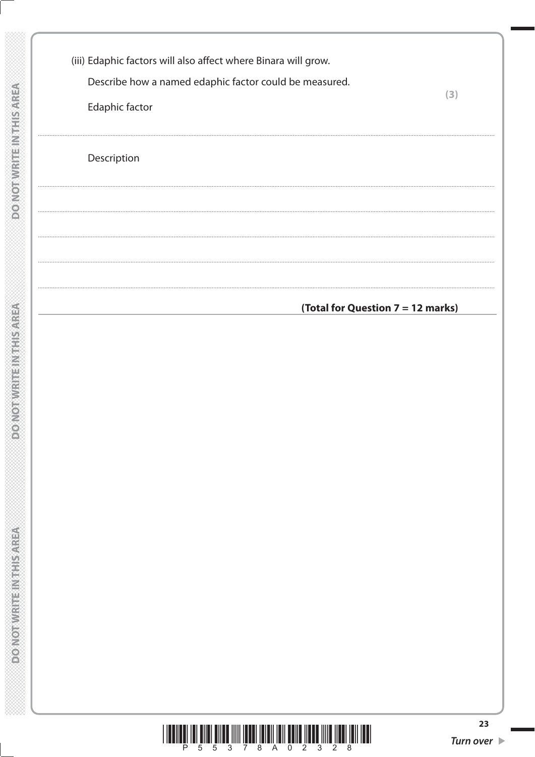| (iii) Edaphic factors will also affect where Binara will grow.<br>Describe how a named edaphic factor could be measured.<br><b>Edaphic factor</b> | (3)                               |
|---------------------------------------------------------------------------------------------------------------------------------------------------|-----------------------------------|
| Description                                                                                                                                       |                                   |
|                                                                                                                                                   |                                   |
|                                                                                                                                                   |                                   |
|                                                                                                                                                   | (Total for Question 7 = 12 marks) |



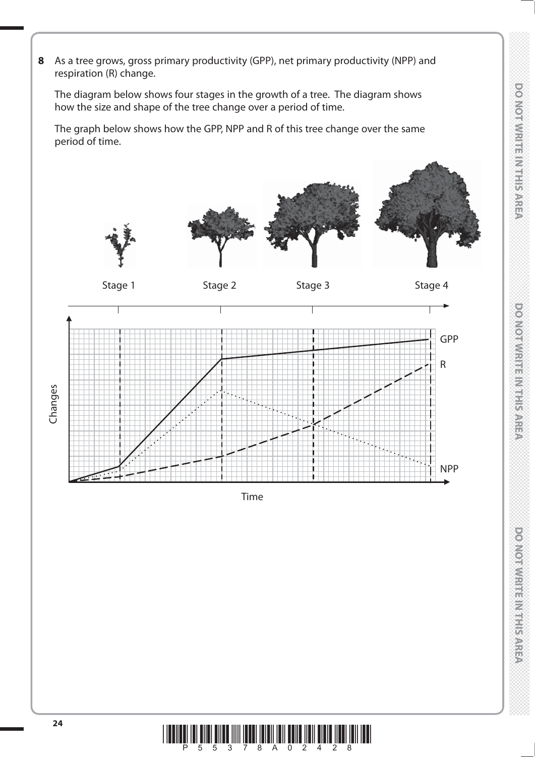**8** As a tree grows, gross primary productivity (GPP), net primary productivity (NPP) and respiration (R) change.

 The diagram below shows four stages in the growth of a tree. The diagram shows how the size and shape of the tree change over a period of time.

 The graph below shows how the GPP, NPP and R of this tree change over the same period of time.









Time

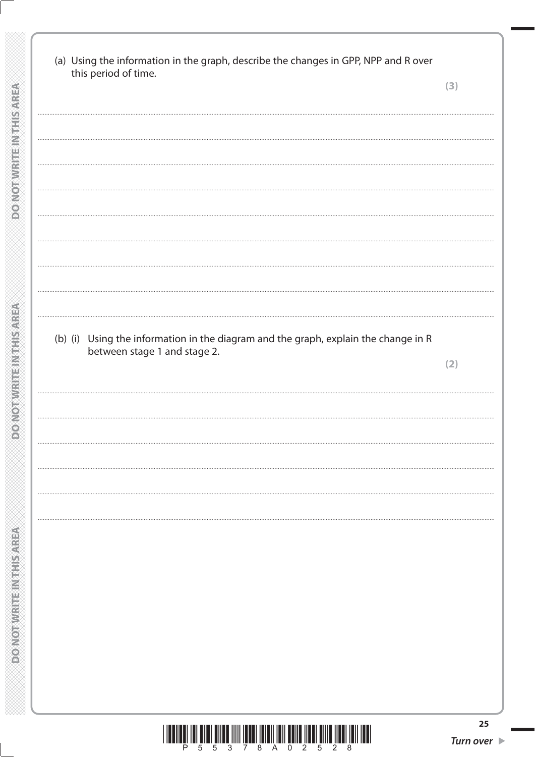(a) Using the information in the graph, describe the changes in GPP, NPP and R over this period of time.  $(3)$ (b) (i) Using the information in the diagram and the graph, explain the change in R between stage 1 and stage 2.  $(2)$  $25$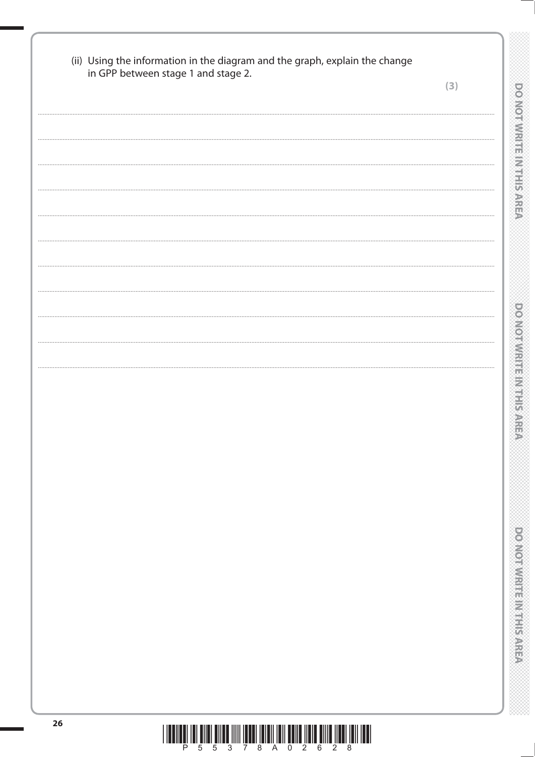| in GPP between stage 1 and stage 2. | (3) |
|-------------------------------------|-----|
|                                     |     |
|                                     |     |
|                                     |     |
|                                     |     |
|                                     |     |
|                                     |     |
|                                     |     |
|                                     |     |
|                                     |     |
|                                     |     |
|                                     |     |
|                                     |     |
|                                     |     |
|                                     |     |
|                                     |     |
|                                     |     |
|                                     |     |
|                                     |     |
|                                     |     |
|                                     |     |
|                                     |     |
|                                     |     |
|                                     |     |
|                                     |     |
|                                     |     |
|                                     |     |
|                                     |     |
|                                     |     |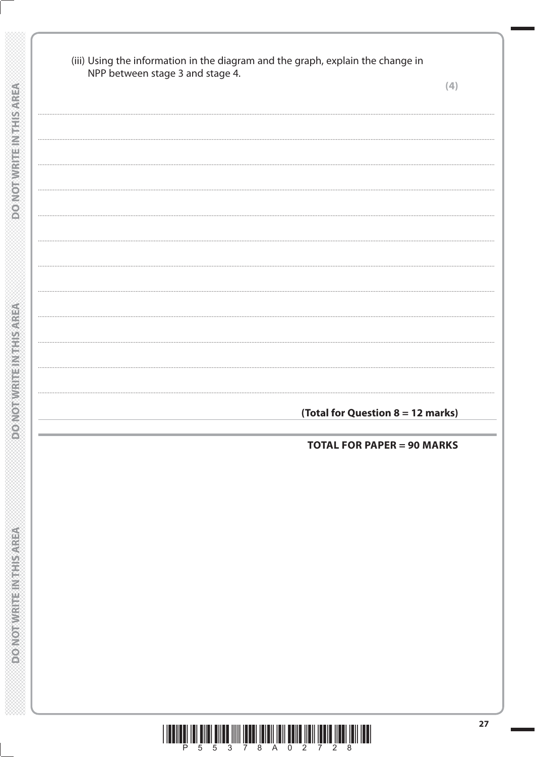| (iii) Using the information in the diagram and the graph, explain the change in<br>NPP between stage 3 and stage 4. |  |                                   |     |
|---------------------------------------------------------------------------------------------------------------------|--|-----------------------------------|-----|
|                                                                                                                     |  |                                   | (4) |
|                                                                                                                     |  |                                   |     |
|                                                                                                                     |  |                                   |     |
|                                                                                                                     |  |                                   |     |
|                                                                                                                     |  |                                   |     |
|                                                                                                                     |  |                                   |     |
|                                                                                                                     |  |                                   |     |
|                                                                                                                     |  |                                   |     |
|                                                                                                                     |  |                                   |     |
|                                                                                                                     |  |                                   |     |
|                                                                                                                     |  |                                   |     |
|                                                                                                                     |  |                                   |     |
|                                                                                                                     |  |                                   |     |
|                                                                                                                     |  |                                   |     |
|                                                                                                                     |  |                                   |     |
|                                                                                                                     |  |                                   |     |
|                                                                                                                     |  |                                   |     |
|                                                                                                                     |  |                                   |     |
|                                                                                                                     |  |                                   |     |
|                                                                                                                     |  |                                   |     |
|                                                                                                                     |  |                                   |     |
|                                                                                                                     |  |                                   |     |
|                                                                                                                     |  |                                   |     |
|                                                                                                                     |  | (Total for Question 8 = 12 marks) |     |
|                                                                                                                     |  | <b>TOTAL FOR PAPER = 90 MARKS</b> |     |
|                                                                                                                     |  |                                   |     |
|                                                                                                                     |  |                                   |     |
|                                                                                                                     |  |                                   |     |
|                                                                                                                     |  |                                   |     |
|                                                                                                                     |  |                                   |     |
|                                                                                                                     |  |                                   |     |
|                                                                                                                     |  |                                   |     |
|                                                                                                                     |  |                                   |     |
|                                                                                                                     |  |                                   |     |
|                                                                                                                     |  |                                   |     |
|                                                                                                                     |  |                                   |     |
|                                                                                                                     |  |                                   |     |
|                                                                                                                     |  |                                   |     |
|                                                                                                                     |  |                                   |     |
|                                                                                                                     |  |                                   |     |
|                                                                                                                     |  |                                   |     |
|                                                                                                                     |  |                                   |     |
|                                                                                                                     |  |                                   |     |